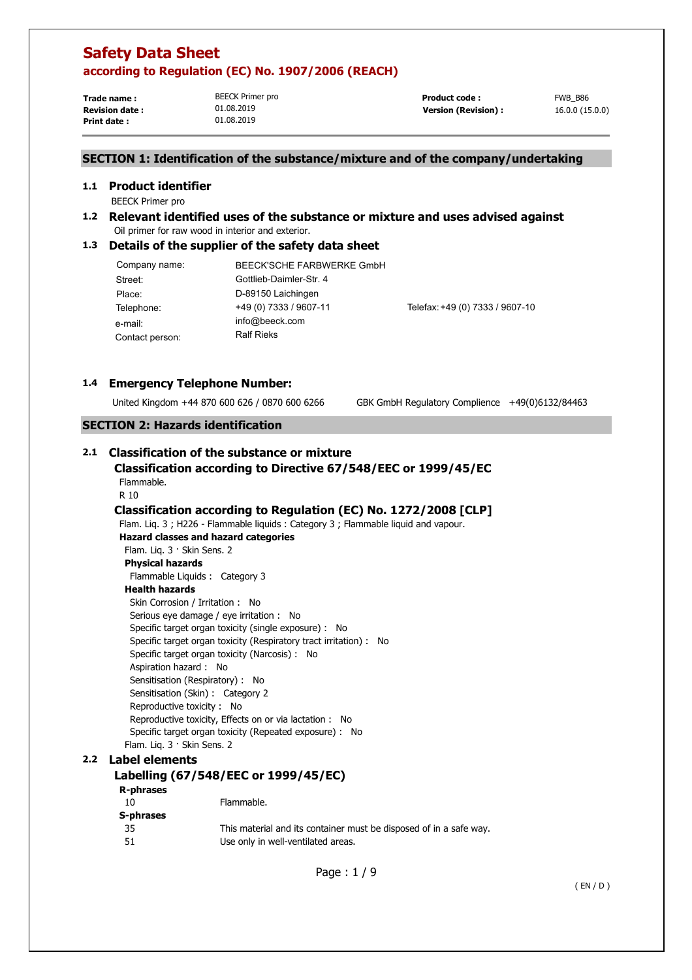**Trade name : Print date :** 

BEECK Primer pro 01.08.2019 01.08.2019

**Revision date :**  $01.08.2019$  **10.08.2019 Version (Revision) :** 16.0.0 (15.0.0) **Product code :** FWB B86

## **SECTION 1: Identification of the substance/mixture and of the company/undertaking**

#### **1.1 Product identifier**

- BEECK Primer pro
- **1.2 Relevant identified uses of the substance or mixture and uses advised against**  Oil primer for raw wood in interior and exterior.

#### **1.3 Details of the supplier of the safety data sheet**

| Company name:   | BEECK'SCHE FARBWERKE GmbH |                                 |
|-----------------|---------------------------|---------------------------------|
| Street:         | Gottlieb-Daimler-Str. 4   |                                 |
| Place:          | D-89150 Laichingen        |                                 |
| Telephone:      | +49 (0) 7333 / 9607-11    | Telefax: +49 (0) 7333 / 9607-10 |
| e-mail:         | info@beeck.com            |                                 |
| Contact person: | <b>Ralf Rieks</b>         |                                 |

#### **1.4 Emergency Telephone Number:**

United Kingdom +44 870 600 626 / 0870 600 6266 GBK GmbH Regulatory Complience +49(0)6132/84463

## **SECTION 2: Hazards identification**

## **2.1 Classification of the substance or mixture**

#### **Classification according to Directive 67/548/EEC or 1999/45/EC**  Flammable. R 10

## **Classification according to Regulation (EC) No. 1272/2008 [CLP]**

Flam. Liq. 3 ; H226 - Flammable liquids : Category 3 ; Flammable liquid and vapour. **Hazard classes and hazard categories**  Flam. Liq. 3 · Skin Sens. 2 **Physical hazards**  Flammable Liquids : Category 3 **Health hazards**  Skin Corrosion / Irritation : No Serious eye damage / eye irritation : No Specific target organ toxicity (single exposure) : No Specific target organ toxicity (Respiratory tract irritation) : No Specific target organ toxicity (Narcosis) : No Aspiration hazard : No Sensitisation (Respiratory) : No Sensitisation (Skin) : Category 2 Reproductive toxicity : No Reproductive toxicity, Effects on or via lactation : No Specific target organ toxicity (Repeated exposure) : No Flam. Liq. 3 · Skin Sens. 2

#### **2.2 Label elements**

### **Labelling (67/548/EEC or 1999/45/EC)**

# **R-phrases**

| N-PHIASES |                                                                    |
|-----------|--------------------------------------------------------------------|
| - 10      | Flammable.                                                         |
| S-phrases |                                                                    |
| - 35      | This material and its container must be disposed of in a safe way. |
| -51       | Use only in well-ventilated areas.                                 |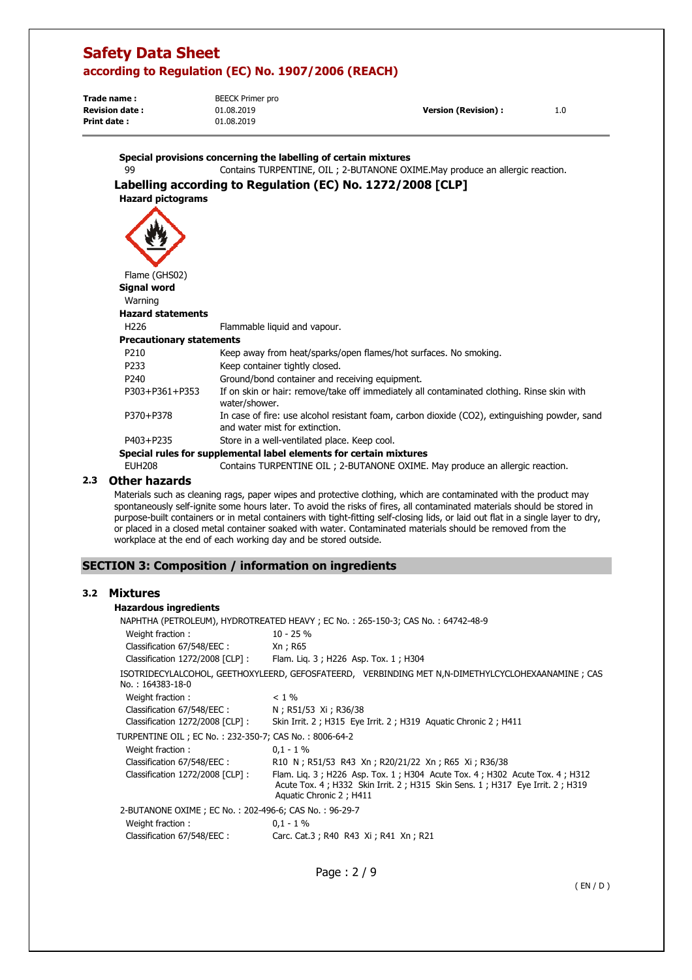**Trade name : Revision date : Version (Revision) :** 1.0 **Print date :**  BEECK Primer pro 01.08.2019 01.08.2019

|                                 | Special provisions concerning the labelling of certain mixtures                                                                 |
|---------------------------------|---------------------------------------------------------------------------------------------------------------------------------|
| 99                              | Contains TURPENTINE, OIL ; 2-BUTANONE OXIME. May produce an allergic reaction.                                                  |
|                                 | Labelling according to Regulation (EC) No. 1272/2008 [CLP]                                                                      |
| <b>Hazard pictograms</b>        |                                                                                                                                 |
|                                 |                                                                                                                                 |
| Flame (GHS02)                   |                                                                                                                                 |
| <b>Signal word</b>              |                                                                                                                                 |
| Warning                         |                                                                                                                                 |
| <b>Hazard statements</b>        |                                                                                                                                 |
| H <sub>226</sub>                | Flammable liquid and vapour.                                                                                                    |
| <b>Precautionary statements</b> |                                                                                                                                 |
| P <sub>210</sub>                | Keep away from heat/sparks/open flames/hot surfaces. No smoking.                                                                |
| P <sub>233</sub>                | Keep container tightly closed.                                                                                                  |
| P <sub>240</sub>                | Ground/bond container and receiving equipment.                                                                                  |
| P303+P361+P353                  | If on skin or hair: remove/take off immediately all contaminated clothing. Rinse skin with<br>water/shower.                     |
| P370+P378                       | In case of fire: use alcohol resistant foam, carbon dioxide (CO2), extinguishing powder, sand<br>and water mist for extinction. |
| P403+P235                       | Store in a well-ventilated place. Keep cool.                                                                                    |
|                                 | Special rules for supplemental label elements for certain mixtures                                                              |
| <b>EUH208</b>                   | Contains TURPENTINE OIL ; 2-BUTANONE OXIME. May produce an allergic reaction.                                                   |
|                                 |                                                                                                                                 |

## **2.3 Other hazards**

Materials such as cleaning rags, paper wipes and protective clothing, which are contaminated with the product may spontaneously self-ignite some hours later. To avoid the risks of fires, all contaminated materials should be stored in purpose-built containers or in metal containers with tight-fitting self-closing lids, or laid out flat in a single layer to dry, or placed in a closed metal container soaked with water. Contaminated materials should be removed from the workplace at the end of each working day and be stored outside.

## **SECTION 3: Composition / information on ingredients**

#### **3.2 Mixtures**

#### **Hazardous ingredients**

| $10 - 25%$<br>Weight fraction:                                                                                                                                                                                                |  |
|-------------------------------------------------------------------------------------------------------------------------------------------------------------------------------------------------------------------------------|--|
|                                                                                                                                                                                                                               |  |
| Classification 67/548/EEC:<br>Xn ; R65                                                                                                                                                                                        |  |
| Classification 1272/2008 [CLP]: Flam. Lig. 3; H226 Asp. Tox. 1; H304                                                                                                                                                          |  |
| ISOTRIDECYLALCOHOL, GEETHOXYLEERD, GEFOSFATEERD, VERBINDING MET N,N-DIMETHYLCYCLOHEXAANAMINE; CAS<br>No.: 164383-18-0                                                                                                         |  |
| Weight fraction:<br>$< 1\%$                                                                                                                                                                                                   |  |
| Classification 67/548/EEC:<br>N; R51/53 Xi; R36/38                                                                                                                                                                            |  |
| Classification $1272/2008$ $[CLP]$ :<br>Skin Irrit. 2; H315 Eye Irrit. 2; H319 Aguatic Chronic 2; H411                                                                                                                        |  |
| TURPENTINE OIL ; EC No. : 232-350-7; CAS No. : 8006-64-2                                                                                                                                                                      |  |
| Weight fraction:<br>$0,1 - 1\%$                                                                                                                                                                                               |  |
| Classification 67/548/EEC :<br>R10 N; R51/53 R43 Xn; R20/21/22 Xn; R65 Xi; R36/38                                                                                                                                             |  |
| Classification 1272/2008 [CLP] :<br>Flam. Lig. 3; H226 Asp. Tox. 1; H304 Acute Tox. 4; H302 Acute Tox. 4; H312<br>Acute Tox. 4 ; H332 Skin Irrit. 2 ; H315 Skin Sens. 1 ; H317 Eye Irrit. 2 ; H319<br>Aquatic Chronic 2; H411 |  |
| 2-BUTANONE OXIME ; EC No.: 202-496-6; CAS No.: 96-29-7                                                                                                                                                                        |  |
| Weight fraction:<br>$0.1 - 1\%$                                                                                                                                                                                               |  |
| Carc. Cat.3; R40 R43 Xi; R41 Xn; R21<br>Classification 67/548/EEC :                                                                                                                                                           |  |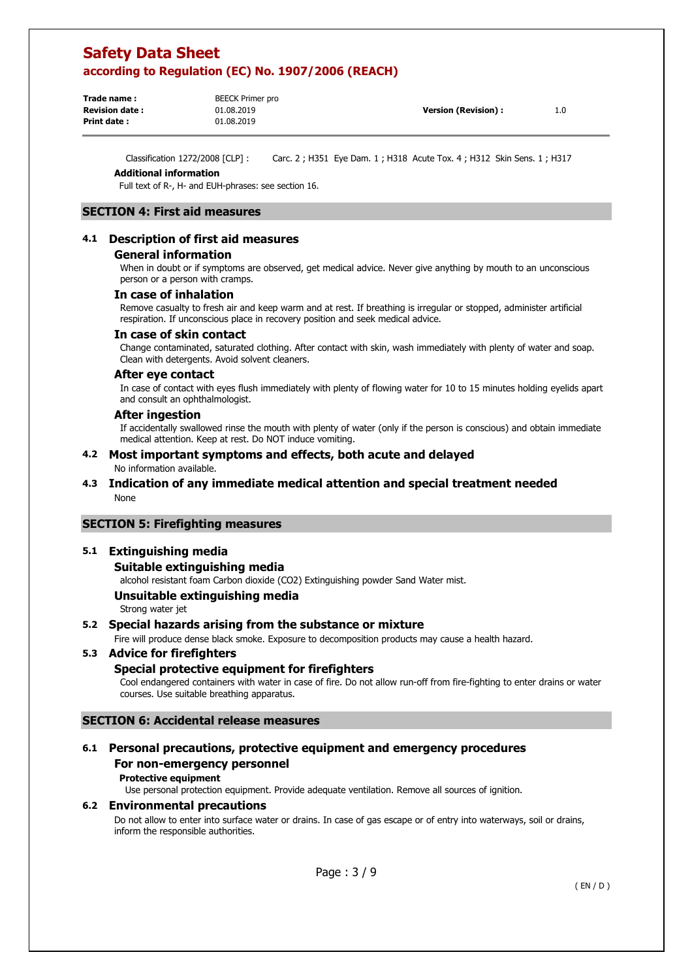| Trade name :           | BEECK Primer pro |                      |     |
|------------------------|------------------|----------------------|-----|
| <b>Revision date :</b> | 01.08.2019       | Version (Revision) : | 1.0 |
| Print date :           | 01.08.2019       |                      |     |
|                        |                  |                      |     |

Classification 1272/2008 [CLP] : Carc. 2 ; H351 Eye Dam. 1 ; H318 Acute Tox. 4 ; H312 Skin Sens. 1 ; H317

#### **Additional information**

Full text of R-, H- and EUH-phrases: see section 16.

## **SECTION 4: First aid measures**

#### **4.1 Description of first aid measures**

#### **General information**

When in doubt or if symptoms are observed, get medical advice. Never give anything by mouth to an unconscious person or a person with cramps.

#### **In case of inhalation**

Remove casualty to fresh air and keep warm and at rest. If breathing is irregular or stopped, administer artificial respiration. If unconscious place in recovery position and seek medical advice.

#### **In case of skin contact**

Change contaminated, saturated clothing. After contact with skin, wash immediately with plenty of water and soap. Clean with detergents. Avoid solvent cleaners.

#### **After eye contact**

In case of contact with eyes flush immediately with plenty of flowing water for 10 to 15 minutes holding eyelids apart and consult an ophthalmologist.

#### **After ingestion**

If accidentally swallowed rinse the mouth with plenty of water (only if the person is conscious) and obtain immediate medical attention. Keep at rest. Do NOT induce vomiting.

#### **4.2 Most important symptoms and effects, both acute and delayed**  No information available.

#### **4.3 Indication of any immediate medical attention and special treatment needed**  None

#### **SECTION 5: Firefighting measures**

#### **5.1 Extinguishing media**

#### **Suitable extinguishing media**

alcohol resistant foam Carbon dioxide (CO2) Extinguishing powder Sand Water mist.

#### **Unsuitable extinguishing media**

Strong water jet

#### **5.2 Special hazards arising from the substance or mixture**

Fire will produce dense black smoke. Exposure to decomposition products may cause a health hazard.

#### **5.3 Advice for firefighters**

### **Special protective equipment for firefighters**

Cool endangered containers with water in case of fire. Do not allow run-off from fire-fighting to enter drains or water courses. Use suitable breathing apparatus.

#### **SECTION 6: Accidental release measures**

## **6.1 Personal precautions, protective equipment and emergency procedures For non-emergency personnel**

#### **Protective equipment**

Use personal protection equipment. Provide adequate ventilation. Remove all sources of ignition.

#### **6.2 Environmental precautions**

Do not allow to enter into surface water or drains. In case of gas escape or of entry into waterways, soil or drains, inform the responsible authorities.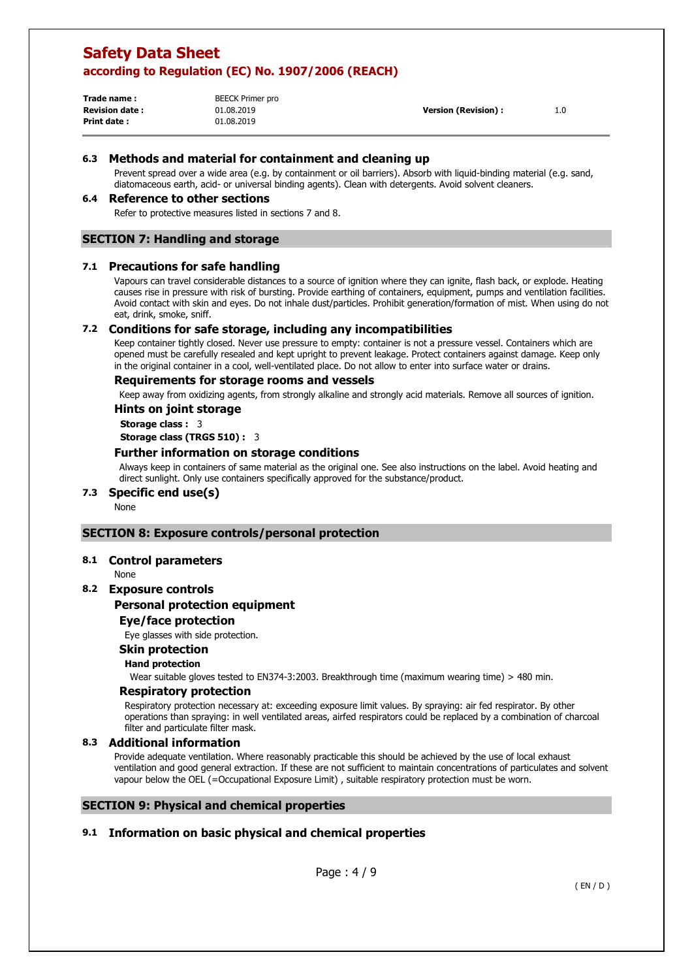| Trade name:           | <b>BEECK Primer pro</b> |
|-----------------------|-------------------------|
| <b>Revision date:</b> | 01.08.2019              |
| Print date:           | 01.08.2019              |

**Version (Revision) :**  1.0

## **6.3 Methods and material for containment and cleaning up**

Prevent spread over a wide area (e.g. by containment or oil barriers). Absorb with liquid-binding material (e.g. sand, diatomaceous earth, acid- or universal binding agents). Clean with detergents. Avoid solvent cleaners.

#### **6.4 Reference to other sections**

Refer to protective measures listed in sections 7 and 8.

## **SECTION 7: Handling and storage**

#### **7.1 Precautions for safe handling**

Vapours can travel considerable distances to a source of ignition where they can ignite, flash back, or explode. Heating causes rise in pressure with risk of bursting. Provide earthing of containers, equipment, pumps and ventilation facilities. Avoid contact with skin and eyes. Do not inhale dust/particles. Prohibit generation/formation of mist. When using do not eat, drink, smoke, sniff.

#### **7.2 Conditions for safe storage, including any incompatibilities**

Keep container tightly closed. Never use pressure to empty: container is not a pressure vessel. Containers which are opened must be carefully resealed and kept upright to prevent leakage. Protect containers against damage. Keep only in the original container in a cool, well-ventilated place. Do not allow to enter into surface water or drains.

#### **Requirements for storage rooms and vessels**

Keep away from oxidizing agents, from strongly alkaline and strongly acid materials. Remove all sources of ignition.

#### **Hints on joint storage**

**Storage class :** 3

**Storage class (TRGS 510) :** 3

#### **Further information on storage conditions**

Always keep in containers of same material as the original one. See also instructions on the label. Avoid heating and direct sunlight. Only use containers specifically approved for the substance/product.

### **7.3 Specific end use(s)**

None

### **SECTION 8: Exposure controls/personal protection**

#### **8.1 Control parameters**

None

## **8.2 Exposure controls**

#### **Personal protection equipment**

### **Eye/face protection**

Eye glasses with side protection.

#### **Skin protection**

#### **Hand protection**

Wear suitable gloves tested to EN374-3:2003. Breakthrough time (maximum wearing time) > 480 min.

#### **Respiratory protection**

Respiratory protection necessary at: exceeding exposure limit values. By spraying: air fed respirator. By other operations than spraying: in well ventilated areas, airfed respirators could be replaced by a combination of charcoal filter and particulate filter mask.

#### **8.3 Additional information**

Provide adequate ventilation. Where reasonably practicable this should be achieved by the use of local exhaust ventilation and good general extraction. If these are not sufficient to maintain concentrations of particulates and solvent vapour below the OEL (=Occupational Exposure Limit) , suitable respiratory protection must be worn.

### **SECTION 9: Physical and chemical properties**

### **9.1 Information on basic physical and chemical properties**

Page : 4 / 9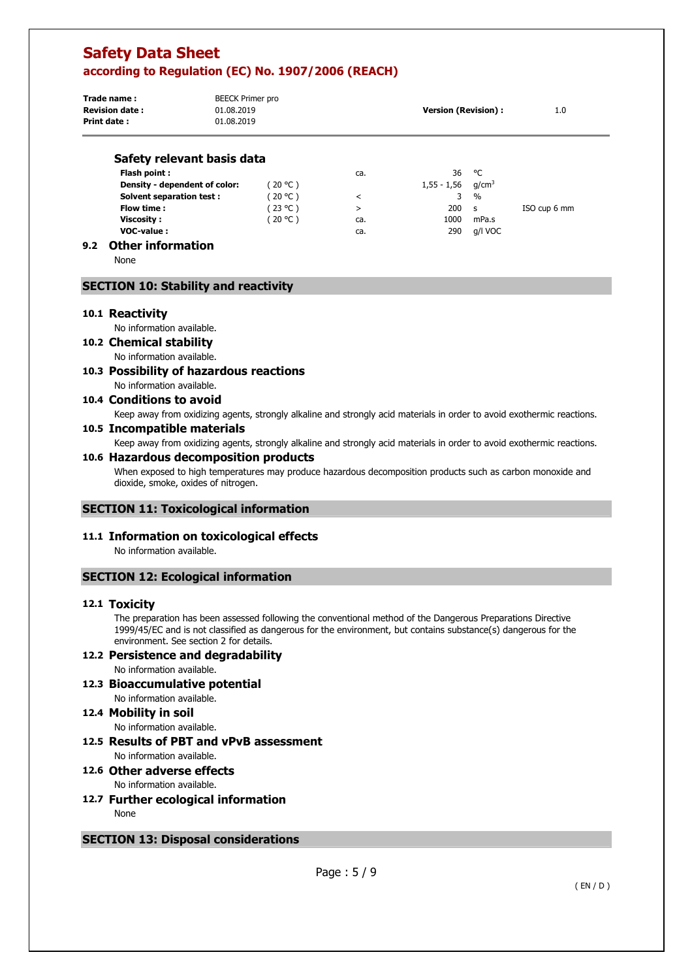| Trade name:<br><b>Revision date:</b><br><b>Print date:</b> | <b>BEECK Primer pro</b><br>01.08.2019<br>01.08.2019 |          |     | <b>Version (Revision):</b> |                   | 1.0          |
|------------------------------------------------------------|-----------------------------------------------------|----------|-----|----------------------------|-------------------|--------------|
| Safety relevant basis data                                 |                                                     |          |     |                            |                   |              |
| Flash point:                                               |                                                     |          | ca. | 36                         | °C                |              |
| Density - dependent of color:                              |                                                     | (20 °C)  |     | 1,55 - 1,56                | q/cm <sup>3</sup> |              |
| <b>Solvent separation test:</b>                            |                                                     | (20 °C ) | <   | 3                          | $\frac{0}{0}$     |              |
| Flow time:                                                 |                                                     | (23 °C ) | >   | 200                        | <b>S</b>          | ISO cup 6 mm |
| Viscosity:                                                 |                                                     | 20 °C    | ca. | 1000                       | mPa.s             |              |

**VOC-value :** ca. 290 g/l VOC

## **9.2 Other information**

None

## **SECTION 10: Stability and reactivity**

#### **10.1 Reactivity**

No information available.

#### **10.2 Chemical stability**

No information available.

#### **10.3 Possibility of hazardous reactions**  No information available.

## **10.4 Conditions to avoid**

Keep away from oxidizing agents, strongly alkaline and strongly acid materials in order to avoid exothermic reactions.

#### **10.5 Incompatible materials**

Keep away from oxidizing agents, strongly alkaline and strongly acid materials in order to avoid exothermic reactions.

#### **10.6 Hazardous decomposition products**

When exposed to high temperatures may produce hazardous decomposition products such as carbon monoxide and dioxide, smoke, oxides of nitrogen.

#### **SECTION 11: Toxicological information**

#### **11.1 Information on toxicological effects**

No information available.

### **SECTION 12: Ecological information**

#### **12.1 Toxicity**

The preparation has been assessed following the conventional method of the Dangerous Preparations Directive 1999/45/EC and is not classified as dangerous for the environment, but contains substance(s) dangerous for the environment. See section 2 for details.

# **12.2 Persistence and degradability**

No information available.

**12.3 Bioaccumulative potential**  No information available.

#### **12.4 Mobility in soil**

No information available.

**12.5 Results of PBT and vPvB assessment**  No information available.

#### **12.6 Other adverse effects**  No information available.

**12.7 Further ecological information**  None

### **SECTION 13: Disposal considerations**

Page : 5 / 9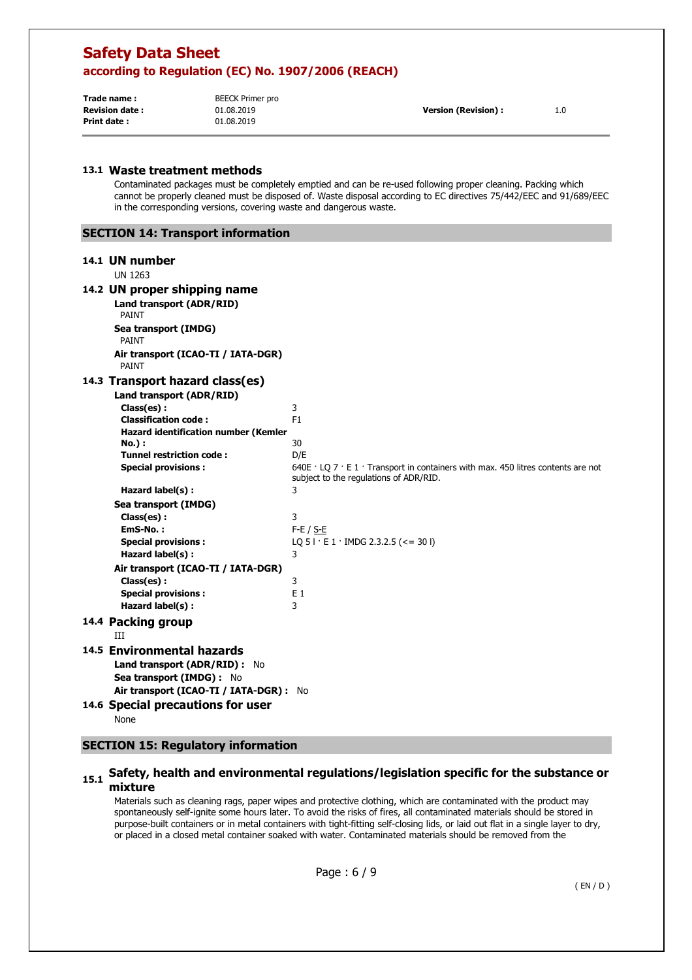| 1.0 |
|-----|
|     |
|     |

#### **13.1 Waste treatment methods**

Contaminated packages must be completely emptied and can be re-used following proper cleaning. Packing which cannot be properly cleaned must be disposed of. Waste disposal according to EC directives 75/442/EEC and 91/689/EEC in the corresponding versions, covering waste and dangerous waste.

## **SECTION 14: Transport information**

#### **14.1 UN number**

UN 1263

## **14.2 UN proper shipping name**

**Land transport (ADR/RID)**  PAINT **Sea transport (IMDG)**  PAINT **Air transport (ICAO-TI / IATA-DGR)**  PAINT

#### **14.3 Transport hazard class(es)**

| 14.3 Transport hazard class(es)                             |                                                                                                                                               |
|-------------------------------------------------------------|-----------------------------------------------------------------------------------------------------------------------------------------------|
| Land transport (ADR/RID)                                    |                                                                                                                                               |
| Class(es) :                                                 | 3                                                                                                                                             |
| <b>Classification code:</b>                                 | F1                                                                                                                                            |
| <b>Hazard identification number (Kemler</b>                 |                                                                                                                                               |
| No.):                                                       | 30                                                                                                                                            |
| <b>Tunnel restriction code:</b>                             | D/E                                                                                                                                           |
| <b>Special provisions:</b>                                  | 640E $\cdot$ LO 7 $\cdot$ E 1 $\cdot$ Transport in containers with max. 450 litres contents are not<br>subject to the regulations of ADR/RID. |
| Hazard label(s) :                                           | 3                                                                                                                                             |
| Sea transport (IMDG)                                        |                                                                                                                                               |
| Class(es):                                                  | 3                                                                                                                                             |
| EmS-No.:                                                    | $F-E / S-E$                                                                                                                                   |
| <b>Special provisions:</b>                                  | LQ 5   $\cdot$ E 1 $\cdot$ IMDG 2.3.2.5 (<= 30  )                                                                                             |
| Hazard label(s):                                            | 3                                                                                                                                             |
| Air transport (ICAO-TI / IATA-DGR)                          |                                                                                                                                               |
| Class(es):                                                  | 3                                                                                                                                             |
| <b>Special provisions:</b>                                  | E <sub>1</sub>                                                                                                                                |
| Hazard label(s) :                                           | 3                                                                                                                                             |
| 14.4 Packing group<br>Ш                                     |                                                                                                                                               |
| 14.5 Environmental hazards<br>Land transport (ADR/RID) : No |                                                                                                                                               |
| Sea transport (IMDG) : No                                   |                                                                                                                                               |
| Air transport (ICAO-TI / IATA-DGR) : No                     |                                                                                                                                               |
| 14.6 Special precautions for user                           |                                                                                                                                               |
| None                                                        |                                                                                                                                               |

#### **SECTION 15: Regulatory information**

### **15.1 Safety, health and environmental regulations/legislation specific for the substance or mixture**

Materials such as cleaning rags, paper wipes and protective clothing, which are contaminated with the product may spontaneously self-ignite some hours later. To avoid the risks of fires, all contaminated materials should be stored in purpose-built containers or in metal containers with tight-fitting self-closing lids, or laid out flat in a single layer to dry, or placed in a closed metal container soaked with water. Contaminated materials should be removed from the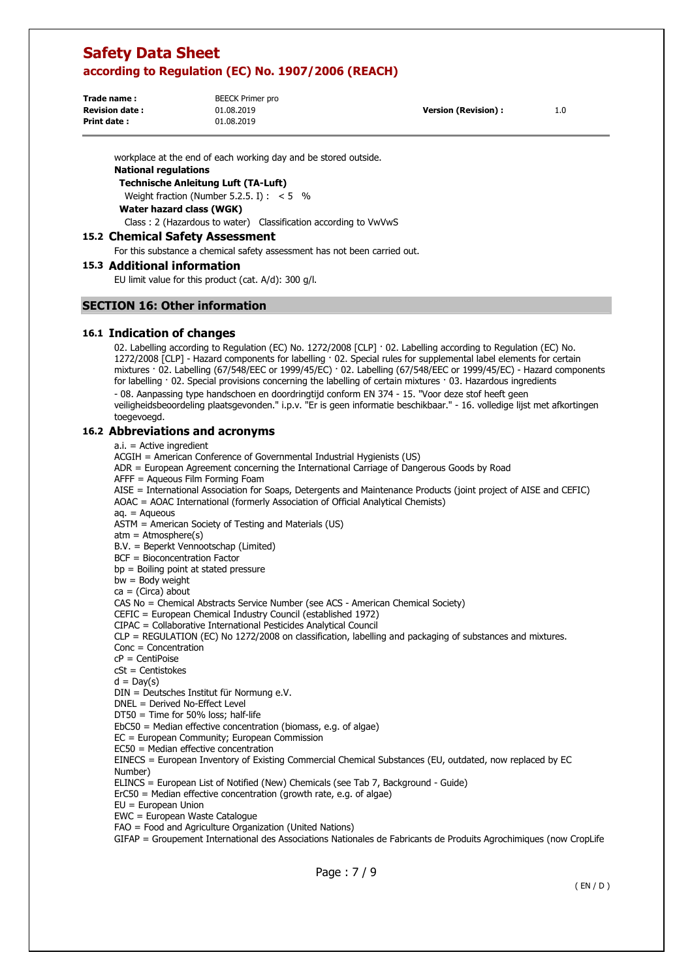**Trade name : Print date :** 

BEECK Primer pro 01.08.2019 01.08.2019

**Revision date : Version (Revision) :** 1.0

workplace at the end of each working day and be stored outside.

#### **National regulations**

**Technische Anleitung Luft (TA-Luft)** 

Weight fraction (Number 5.2.5. I) :  $< 5$  %

**Water hazard class (WGK)** 

Class : 2 (Hazardous to water) Classification according to VwVwS

#### **15.2 Chemical Safety Assessment**

For this substance a chemical safety assessment has not been carried out.

#### **15.3 Additional information**

EU limit value for this product (cat. A/d): 300 g/l.

#### **SECTION 16: Other information**

#### **16.1 Indication of changes**

02. Labelling according to Regulation (EC) No. 1272/2008 [CLP] · 02. Labelling according to Regulation (EC) No. 1272/2008 [CLP] - Hazard components for labelling · 02. Special rules for supplemental label elements for certain mixtures · 02. Labelling (67/548/EEC or 1999/45/EC) · 02. Labelling (67/548/EEC or 1999/45/EC) - Hazard components for labelling · 02. Special provisions concerning the labelling of certain mixtures · 03. Hazardous ingredients - 08. Aanpassing type handschoen en doordringtijd conform EN 374 - 15. "Voor deze stof heeft geen

veiligheidsbeoordeling plaatsgevonden." i.p.v. "Er is geen informatie beschikbaar." - 16. volledige lijst met afkortingen toegevoegd.

#### **16.2 Abbreviations and acronyms**

 $a_i$  = Active ingredient

ACGIH = American Conference of Governmental Industrial Hygienists (US)

ADR = European Agreement concerning the International Carriage of Dangerous Goods by Road

AFFF = Aqueous Film Forming Foam

AISE = International Association for Soaps, Detergents and Maintenance Products (joint project of AISE and CEFIC) AOAC = AOAC International (formerly Association of Official Analytical Chemists)

aq. = Aqueous

ASTM = American Society of Testing and Materials (US)

 $atm = Atmosphere(s)$ 

B.V. = Beperkt Vennootschap (Limited)

BCF = Bioconcentration Factor

bp = Boiling point at stated pressure

bw = Body weight

 $ca = (Circa)$  about

CAS No = Chemical Abstracts Service Number (see ACS - American Chemical Society)

CEFIC = European Chemical Industry Council (established 1972)

CIPAC = Collaborative International Pesticides Analytical Council

CLP = REGULATION (EC) No 1272/2008 on classification, labelling and packaging of substances and mixtures.

Conc = Concentration

cP = CentiPoise

cSt = Centistokes

 $d = Day(s)$ 

DIN = Deutsches Institut für Normung e.V.

DNEL = Derived No-Effect Level

DT50 = Time for 50% loss; half-life

EbC50 = Median effective concentration (biomass, e.g. of algae)

EC = European Community; European Commission

EC50 = Median effective concentration

EINECS = European Inventory of Existing Commercial Chemical Substances (EU, outdated, now replaced by EC Number)

ELINCS = European List of Notified (New) Chemicals (see Tab 7, Background - Guide)

ErC50 = Median effective concentration (growth rate, e.g. of algae)

EU = European Union

EWC = European Waste Catalogue

FAO = Food and Agriculture Organization (United Nations)

GIFAP = Groupement International des Associations Nationales de Fabricants de Produits Agrochimiques (now CropLife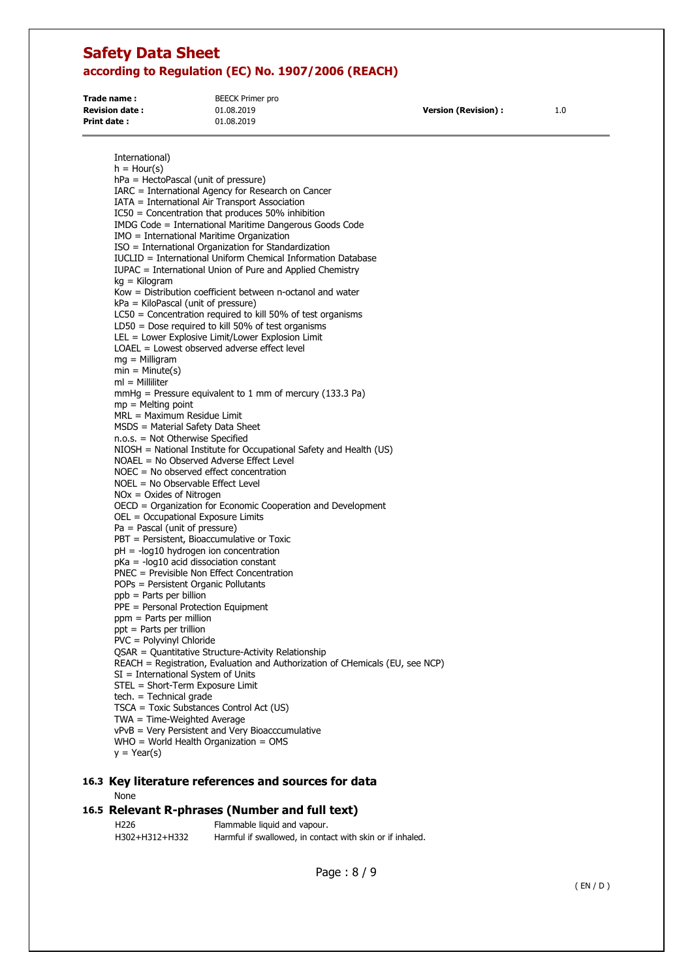| Trade name:           | BEECK Primer pro |                            |     |
|-----------------------|------------------|----------------------------|-----|
| <b>Revision date:</b> | 01.08.2019       | <b>Version (Revision):</b> | 1.0 |
| Print date:           | 01.08.2019       |                            |     |

International)  $h =$  Hour(s) hPa = HectoPascal (unit of pressure) IARC = International Agency for Research on Cancer IATA = International Air Transport Association IC50 = Concentration that produces 50% inhibition IMDG Code = International Maritime Dangerous Goods Code IMO = International Maritime Organization ISO = International Organization for Standardization IUCLID = International Uniform Chemical Information Database IUPAC = International Union of Pure and Applied Chemistry kg = Kilogram Kow = Distribution coefficient between n-octanol and water kPa = KiloPascal (unit of pressure) LC50 = Concentration required to kill 50% of test organisms LD50 = Dose required to kill 50% of test organisms LEL = Lower Explosive Limit/Lower Explosion Limit LOAEL = Lowest observed adverse effect level mg = Milligram  $min = Minute(s)$ ml = Milliliter mmHg = Pressure equivalent to 1 mm of mercury (133.3 Pa)  $mp =$  Melting point  $MRL = Maximum$  Residue Limit MSDS = Material Safety Data Sheet n.o.s. = Not Otherwise Specified NIOSH = National Institute for Occupational Safety and Health (US) NOAEL = No Observed Adverse Effect Level NOEC = No observed effect concentration NOEL = No Observable Effect Level NOx = Oxides of Nitrogen OECD = Organization for Economic Cooperation and Development OEL = Occupational Exposure Limits Pa = Pascal (unit of pressure) PBT = Persistent, Bioaccumulative or Toxic pH = -log10 hydrogen ion concentration pKa = -log10 acid dissociation constant PNEC = Previsible Non Effect Concentration POPs = Persistent Organic Pollutants  $p$ ppb = Parts per billion PPE = Personal Protection Equipment ppm = Parts per million ppt = Parts per trillion PVC = Polyvinyl Chloride QSAR = Quantitative Structure-Activity Relationship REACH = Registration, Evaluation and Authorization of CHemicals (EU, see NCP) SI = International System of Units STEL = Short-Term Exposure Limit tech. = Technical grade TSCA = Toxic Substances Control Act (US) TWA = Time-Weighted Average vPvB = Very Persistent and Very Bioacccumulative WHO = World Health Organization = OMS  $y = Year(s)$ **16.3 Key literature references and sources for data**  None

#### **16.5 Relevant R-phrases (Number and full text)**  H226 Flammable liquid and vapour.

H302+H312+H332 Harmful if swallowed, in contact with skin or if inhaled.

Page : 8 / 9